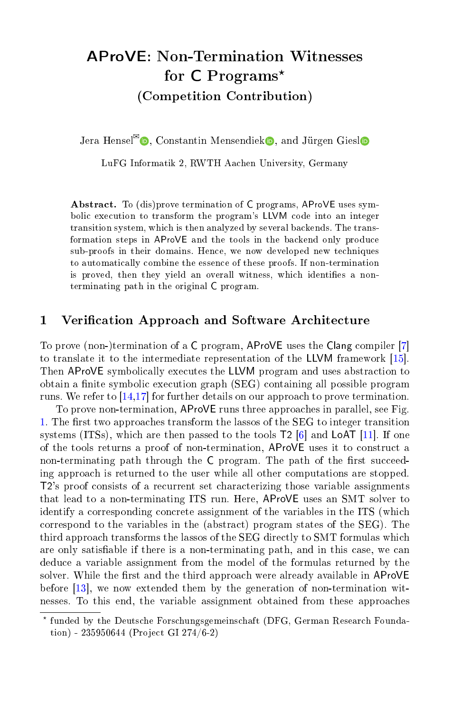# AProVE: Non-Termination Witnesses for  $C$  Programs\* (Competition Contribution)

Jera Hense[l](http://orcid.org/0000-0003-0283-8520)<sup> $\mathbb{Z}_0$ </sup>[,](http://orcid.org/0000-0002-7081-8065) Constantin Mensendiek **D**, and Jürgen Giesl

LuFG Informatik 2, RWTH Aachen University, Germany

Abstract. To (dis)prove termination of C programs, AProVE uses symbolic execution to transform the program's LLVM code into an integer transition system, which is then analyzed by several backends. The transformation steps in AProVE and the tools in the backend only produce sub-proofs in their domains. Hence, we now developed new techniques to automatically combine the essence of these proofs. If non-termination is proved, then they yield an overall witness, which identifies a nonterminating path in the original C program.

## 1 Verification Approach and Software Architecture

To prove (non-)termination of a C program, AProVE uses the Clang compiler [\[7\]](#page-4-0) to translate it to the intermediate representation of the LLVM framework [\[15\]](#page-4-1). Then AProVE symbolically executes the LLVM program and uses abstraction to obtain a finite symbolic execution graph (SEG) containing all possible program runs. We refer to [\[14](#page-4-2)[,17\]](#page-4-3) for further details on our approach to prove termination.

To prove non-termination, AProVE runs three approaches in parallel, see Fig. [1.](#page-1-0) The first two approaches transform the lassos of the SEG to integer transition systems (ITSs), which are then passed to the tools T2 [\[6\]](#page-4-4) and LoAT [\[11\]](#page-4-5). If one of the tools returns a proof of non-termination, AProVE uses it to construct a non-terminating path through the  $C$  program. The path of the first succeeding approach is returned to the user while all other computations are stopped. T2's proof consists of a recurrent set characterizing those variable assignments that lead to a non-terminating ITS run. Here, AProVE uses an SMT solver to identify a corresponding concrete assignment of the variables in the ITS (which correspond to the variables in the (abstract) program states of the SEG). The third approach transforms the lassos of the SEG directly to SMT formulas which are only satisable if there is a non-terminating path, and in this case, we can deduce a variable assignment from the model of the formulas returned by the solver. While the first and the third approach were already available in AProVE before [\[13\]](#page-4-6), we now extended them by the generation of non-termination witnesses. To this end, the variable assignment obtained from these approaches

<sup>⋆</sup> funded by the Deutsche Forschungsgemeinschaft (DFG, German Research Foundation) - 235950644 (Project GI 274/6-2)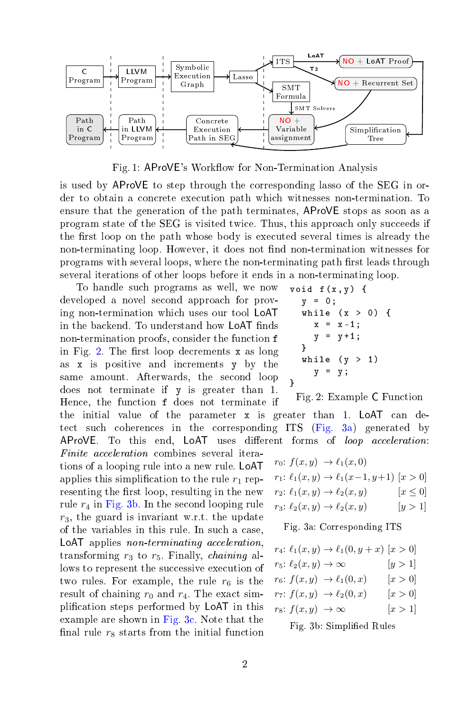<span id="page-1-0"></span>

Fig. 1: AProVE's Workflow for Non-Termination Analysis

is used by AProVE to step through the corresponding lasso of the SEG in order to obtain a concrete execution path which witnesses non-termination. To ensure that the generation of the path terminates, AProVE stops as soon as a program state of the SEG is visited twice. Thus, this approach only succeeds if the first loop on the path whose body is executed several times is already the non-terminating loop. However, it does not find non-termination witnesses for programs with several loops, where the non-terminating path first leads through several iterations of other loops before it ends in a non-terminating loop.

To handle such programs as well, we now developed a novel second approach for proving non-termination which uses our tool LoAT in the backend. To understand how LoAT finds non-termination proofs, consider the function f in Fig. [2.](#page-1-1) The first loop decrements  $x$  as long as x is positive and increments y by the same amount. Afterwards, the second loop does not terminate if y is greater than 1. Hence, the function f does not terminate if

result of chaining  $r_0$  and  $r_4$ . The exact simplication steps performed by LoAT in this example are shown in [Fig. 3c.](#page-2-0) Note that the final rule  $r_8$  starts from the initial function

the initial value of the parameter x is greater than 1. LoAT can detect such coherences in the corresponding ITS [\(Fig. 3a\)](#page-1-2) generated by AProVE. To this end, LoAT uses different forms of loop acceleration:  $r_0: f(x, y) \rightarrow \ell_1(x, 0)$  $r_1: \ell_1(x, y) \to \ell_1(x-1, y+1)$  [x > 0]  $r_2: \ell_1(x, y) \rightarrow \ell_2(x, y)$   $[x \leq 0]$ Finite acceleration combines several iterations of a looping rule into a new rule. LoAT applies this simplification to the rule  $r_1$  representing the first loop, resulting in the new rule  $r_4$  in [Fig. 3b.](#page-1-2) In the second looping rule  $r_3$ , the guard is invariant w.r.t. the update

<span id="page-1-2"></span>Fig. 3a: Corresponding ITS

void  $f(x, y)$  {  $y = 0;$ 

}

}

<span id="page-1-1"></span>while  $(x > 0)$  {  $x = x - 1;$  $y = y + 1;$ 

while  $(y > 1)$  $y = y;$ 

Fig. 2: Example C Function

|                                  | $r_4: \ell_1(x, y) \to \ell_1(0, y + x)$ [x > 0] |           |  |
|----------------------------------|--------------------------------------------------|-----------|--|
| $r_5: \ell_2(x,y) \to \infty$    |                                                  | [y > 1]   |  |
|                                  | $r_6$ $f(x, y) \rightarrow \ell_1(0, x)$         | $[x > 0]$ |  |
|                                  | $r_7: f(x,y) \rightarrow \ell_2(0,x)$            | $[x > 0]$ |  |
| $r_8: f(x,y) \rightarrow \infty$ |                                                  | [x>1]     |  |
|                                  |                                                  |           |  |

Fig. 3b: Simplied Rules

 $r_3: \ell_2(x, y) \to \ell_2(x, y)$  [y > 1] of the variables in this rule. In such a case, LoAT applies non-terminating acceleration, transforming  $r_3$  to  $r_5$ . Finally, *chaining* allows to represent the successive execution of two rules. For example, the rule  $r_6$  is the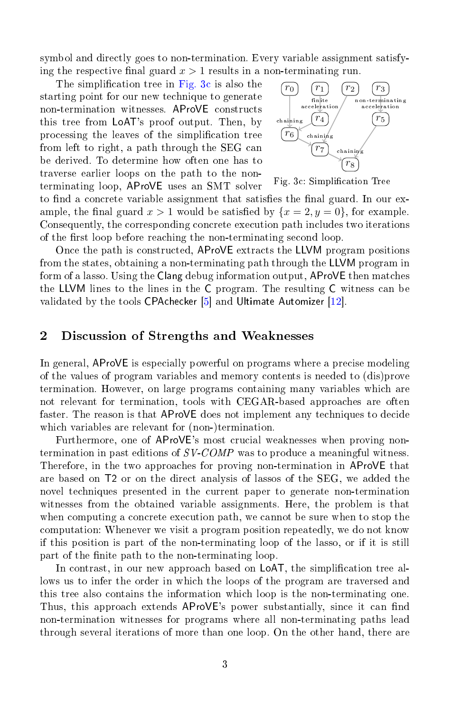symbol and directly goes to non-termination. Every variable assignment satisfying the respective final guard  $x > 1$  results in a non-terminating run.

The simplification tree in [Fig. 3c](#page-2-0) is also the starting point for our new technique to generate non-termination witnesses. AProVE constructs this tree from LoAT's proof output. Then, by processing the leaves of the simplication tree from left to right, a path through the SEG can be derived. To determine how often one has to traverse earlier loops on the path to the nonterminating loop, AProVE uses an SMT solver

<span id="page-2-0"></span>

Fig. 3c: Simplication Tree

to find a concrete variable assignment that satisfies the final guard. In our example, the final guard  $x > 1$  would be satisfied by  $\{x = 2, y = 0\}$ , for example. Consequently, the corresponding concrete execution path includes two iterations of the first loop before reaching the non-terminating second loop.

Once the path is constructed, AProVE extracts the LLVM program positions from the states, obtaining a non-terminating path through the LLVM program in form of a lasso. Using the Clang debug information output, AProVE then matches the LLVM lines to the lines in the C program. The resulting C witness can be validated by the tools CPAchecker [\[5\]](#page-4-7) and Ultimate Automizer [\[12\]](#page-4-8).

# 2 Discussion of Strengths and Weaknesses

In general, AProVE is especially powerful on programs where a precise modeling of the values of program variables and memory contents is needed to (dis)prove termination. However, on large programs containing many variables which are not relevant for termination, tools with CEGAR-based approaches are often faster. The reason is that AProVE does not implement any techniques to decide which variables are relevant for (non-)termination.

Furthermore, one of AProVE's most crucial weaknesses when proving nontermination in past editions of SV-COMP was to produce a meaningful witness. Therefore, in the two approaches for proving non-termination in AProVE that are based on T2 or on the direct analysis of lassos of the SEG, we added the novel techniques presented in the current paper to generate non-termination witnesses from the obtained variable assignments. Here, the problem is that when computing a concrete execution path, we cannot be sure when to stop the computation: Whenever we visit a program position repeatedly, we do not know if this position is part of the non-terminating loop of the lasso, or if it is still part of the finite path to the non-terminating loop.

In contrast, in our new approach based on LoAT, the simplication tree allows us to infer the order in which the loops of the program are traversed and this tree also contains the information which loop is the non-terminating one. Thus, this approach extends AProVE's power substantially, since it can find non-termination witnesses for programs where all non-terminating paths lead through several iterations of more than one loop. On the other hand, there are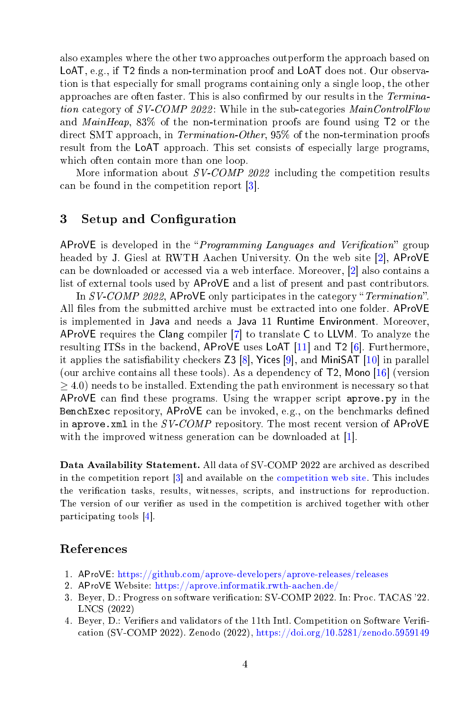also examples where the other two approaches outperform the approach based on LoAT, e.g., if T2 finds a non-termination proof and LoAT does not. Our observation is that especially for small programs containing only a single loop, the other approaches are often faster. This is also confirmed by our results in the Termination category of SV-COMP 2022: While in the sub-categories MainControlFlow and MainHeap, 83% of the non-termination proofs are found using T2 or the direct SMT approach, in Termination-Other, 95% of the non-termination proofs result from the LoAT approach. This set consists of especially large programs, which often contain more than one loop.

More information about SV-COMP 2022 including the competition results can be found in the competition report [\[3\]](#page-3-0).

# 3 Setup and Configuration

AProVE is developed in the "*Programming Languages and Verification*" group headed by J. Giesl at RWTH Aachen University. On the web site [\[2\]](#page-3-1), AProVE can be downloaded or accessed via a web interface. Moreover, [\[2\]](#page-3-1) also contains a list of external tools used by AProVE and a list of present and past contributors.

In  $SV\text{-}COMP\text{-}2022$ , AProVE only participates in the category "Termination". All files from the submitted archive must be extracted into one folder. AProVE is implemented in Java and needs a Java 11 Runtime Environment. Moreover, AProVE requires the Clang compiler [\[7\]](#page-4-0) to translate C to LLVM. To analyze the resulting ITSs in the backend, AProVE uses LoAT [\[11\]](#page-4-5) and T2 [\[6\]](#page-4-4). Furthermore, it applies the satisfiability checkers  $Z3 [8]$  $Z3 [8]$ , Yices  $[9]$ , and MiniSAT  $[10]$  in parallel (our archive contains all these tools). As a dependency of T2, Mono [\[16\]](#page-4-12) (version  $\geq$  4.0) needs to be installed. Extending the path environment is necessary so that AProVE can find these programs. Using the wrapper script aprove.py in the BenchExec repository, AProVE can be invoked, e.g., on the benchmarks defined in aprove. xml in the  $SV\text{-}COMP$  repository. The most recent version of AProVE with the improved witness generation can be downloaded at [\[1\]](#page-3-2).

Data Availability Statement. All data of SV-COMP 2022 are archived as described in the competition report [\[3\]](#page-3-0) and available on the [competition web site.](https://sv-comp.sosy-lab.org/2022/) This includes the verification tasks, results, witnesses, scripts, and instructions for reproduction. The version of our verifier as used in the competition is archived together with other participating tools [\[4\]](#page-3-3).

# References

- <span id="page-3-2"></span>1. AProVE: <https://github.com/aprove-developers/aprove-releases/releases>
- <span id="page-3-1"></span>2. AProVE Website: <https://aprove.informatik.rwth-aachen.de/>
- <span id="page-3-0"></span>3. Beyer, D.: Progress on software verification: SV-COMP 2022. In: Proc. TACAS '22. LNCS (2022)
- <span id="page-3-3"></span>4. Beyer, D.: Verifiers and validators of the 11th Intl. Competition on Software Verification (SV-COMP 2022). Zenodo (2022), <https://doi.org/10.5281/zenodo.5959149>